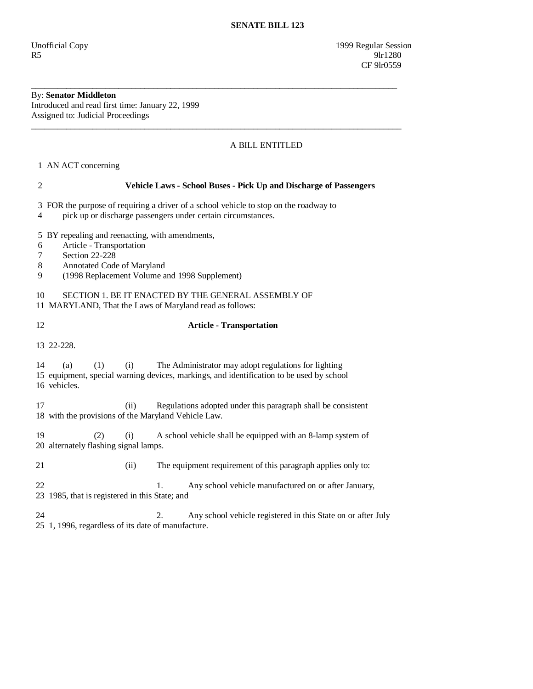Unofficial Copy 1999 Regular Session  $R5$  9lr1280 CF 9lr0559

## By: **Senator Middleton**  Introduced and read first time: January 22, 1999

Assigned to: Judicial Proceedings \_\_\_\_\_\_\_\_\_\_\_\_\_\_\_\_\_\_\_\_\_\_\_\_\_\_\_\_\_\_\_\_\_\_\_\_\_\_\_\_\_\_\_\_\_\_\_\_\_\_\_\_\_\_\_\_\_\_\_\_\_\_\_\_\_\_\_\_\_\_\_\_\_\_\_\_\_\_\_\_\_\_\_\_\_

## A BILL ENTITLED

1 AN ACT concerning

| 2                                                                                                                    |                                                                                                                                                                            | Vehicle Laws - School Buses - Pick Up and Discharge of Passengers                                                                                |  |
|----------------------------------------------------------------------------------------------------------------------|----------------------------------------------------------------------------------------------------------------------------------------------------------------------------|--------------------------------------------------------------------------------------------------------------------------------------------------|--|
| 4                                                                                                                    | 3 FOR the purpose of requiring a driver of a school vehicle to stop on the roadway to<br>pick up or discharge passengers under certain circumstances.                      |                                                                                                                                                  |  |
| 5<br>6<br>7<br>$8\,$<br>9                                                                                            | BY repealing and reenacting, with amendments,<br>Article - Transportation<br>Section 22-228<br>Annotated Code of Maryland<br>(1998 Replacement Volume and 1998 Supplement) |                                                                                                                                                  |  |
| 10<br>SECTION 1. BE IT ENACTED BY THE GENERAL ASSEMBLY OF<br>11 MARYLAND, That the Laws of Maryland read as follows: |                                                                                                                                                                            |                                                                                                                                                  |  |
| 12                                                                                                                   | <b>Article - Transportation</b>                                                                                                                                            |                                                                                                                                                  |  |
| 13 22 - 228.                                                                                                         |                                                                                                                                                                            |                                                                                                                                                  |  |
| 14                                                                                                                   | (1)<br>(a)<br>(i)<br>16 vehicles.                                                                                                                                          | The Administrator may adopt regulations for lighting<br>15 equipment, special warning devices, markings, and identification to be used by school |  |
| 17                                                                                                                   | (ii)<br>18 with the provisions of the Maryland Vehicle Law.                                                                                                                | Regulations adopted under this paragraph shall be consistent                                                                                     |  |
| 19                                                                                                                   | (2)<br>(i)<br>20 alternately flashing signal lamps.                                                                                                                        | A school vehicle shall be equipped with an 8-lamp system of                                                                                      |  |
| 21                                                                                                                   | (ii)                                                                                                                                                                       | The equipment requirement of this paragraph applies only to:                                                                                     |  |
| 22                                                                                                                   | $\mathbf{1}$ .<br>Any school vehicle manufactured on or after January,<br>23 1985, that is registered in this State; and                                                   |                                                                                                                                                  |  |
| 24                                                                                                                   | 25 1, 1996, regardless of its date of manufacture.                                                                                                                         | 2.<br>Any school vehicle registered in this State on or after July                                                                               |  |

\_\_\_\_\_\_\_\_\_\_\_\_\_\_\_\_\_\_\_\_\_\_\_\_\_\_\_\_\_\_\_\_\_\_\_\_\_\_\_\_\_\_\_\_\_\_\_\_\_\_\_\_\_\_\_\_\_\_\_\_\_\_\_\_\_\_\_\_\_\_\_\_\_\_\_\_\_\_\_\_\_\_\_\_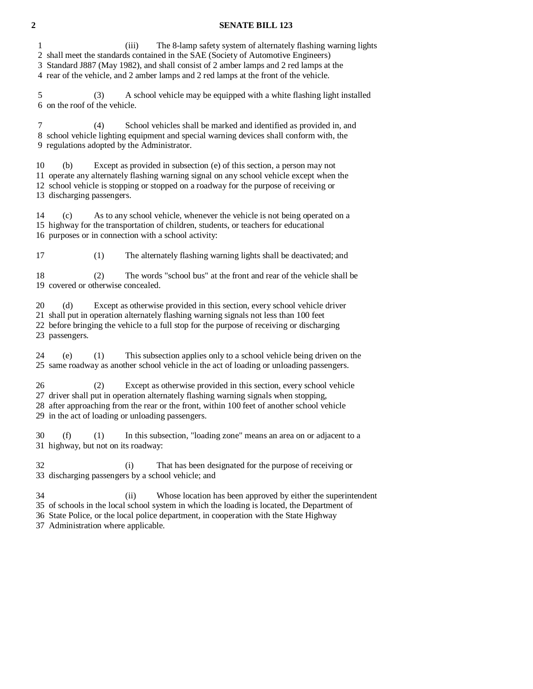## **2 SENATE BILL 123**

1 (iii) The 8-lamp safety system of alternately flashing warning lights

2 shall meet the standards contained in the SAE (Society of Automotive Engineers)

3 Standard J887 (May 1982), and shall consist of 2 amber lamps and 2 red lamps at the

4 rear of the vehicle, and 2 amber lamps and 2 red lamps at the front of the vehicle.

 5 (3) A school vehicle may be equipped with a white flashing light installed 6 on the roof of the vehicle.

 7 (4) School vehicles shall be marked and identified as provided in, and 8 school vehicle lighting equipment and special warning devices shall conform with, the 9 regulations adopted by the Administrator.

 10 (b) Except as provided in subsection (e) of this section, a person may not 11 operate any alternately flashing warning signal on any school vehicle except when the 12 school vehicle is stopping or stopped on a roadway for the purpose of receiving or 13 discharging passengers.

 14 (c) As to any school vehicle, whenever the vehicle is not being operated on a 15 highway for the transportation of children, students, or teachers for educational 16 purposes or in connection with a school activity:

17 (1) The alternately flashing warning lights shall be deactivated; and

 18 (2) The words "school bus" at the front and rear of the vehicle shall be 19 covered or otherwise concealed.

20 (d) Except as otherwise provided in this section, every school vehicle driver

21 shall put in operation alternately flashing warning signals not less than 100 feet

 22 before bringing the vehicle to a full stop for the purpose of receiving or discharging 23 passengers.

 24 (e) (1) This subsection applies only to a school vehicle being driven on the 25 same roadway as another school vehicle in the act of loading or unloading passengers.

 26 (2) Except as otherwise provided in this section, every school vehicle 27 driver shall put in operation alternately flashing warning signals when stopping, 28 after approaching from the rear or the front, within 100 feet of another school vehicle 29 in the act of loading or unloading passengers.

 30 (f) (1) In this subsection, "loading zone" means an area on or adjacent to a 31 highway, but not on its roadway:

 32 (i) That has been designated for the purpose of receiving or 33 discharging passengers by a school vehicle; and

34 (ii) Whose location has been approved by either the superintendent

35 of schools in the local school system in which the loading is located, the Department of

36 State Police, or the local police department, in cooperation with the State Highway

37 Administration where applicable.